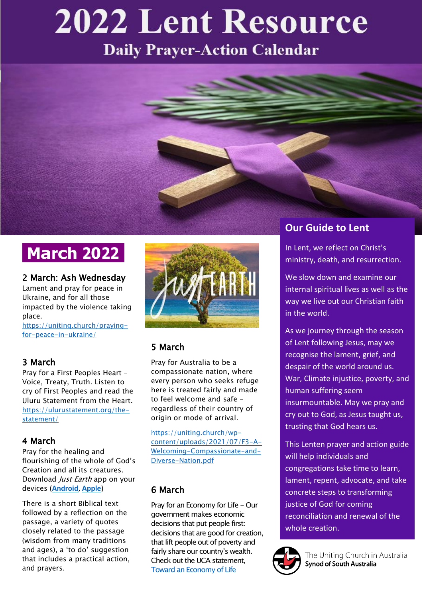# **2022 Lent Resource**

**Daily Prayer-Action Calendar** 



# **March 2022**

#### 2 March: Ash Wednesday

Lament and pray for peace in Ukraine, and for all those impacted by the violence taking place.

[https://uniting.church/praying](https://uniting.church/praying-for-peace-in-ukraine/)[for-peace-in-ukraine/](https://uniting.church/praying-for-peace-in-ukraine/)

#### 3 March

Pray for a First Peoples Heart – Voice, Treaty, Truth. Listen to cry of First Peoples and read the Uluru Statement from the Heart. [https://ulurustatement.org/the](https://ulurustatement.org/the-statement/)[statement/](https://ulurustatement.org/the-statement/)

#### 4 March

Pray for the healing and flourishing of the whole of God's Creation and all its creatures. Download Just Earth app on your devices (**[Android](https://play.google.com/store/apps/details?id=com.app.earthapp)**, **[Apple](https://itunes.apple.com/us/app/just-earth/id1451886485?ls=1&mt=8)**)

There is a short Biblical text followed by a reflection on the passage, a variety of quotes closely related to the passage (wisdom from many traditions and ages), a 'to do' suggestion that includes a practical action, and prayers.



#### 5 March

Pray for Australia to be a compassionate nation, where every person who seeks refuge here is treated fairly and made to feel welcome and safe – regardless of their country of origin or mode of arrival.

[https://uniting.church/wp](https://uniting.church/wp-content/uploads/2021/07/F3-A-Welcoming-Compassionate-and-Diverse-Nation.pdf)[content/uploads/2021/07/F3-A-](https://uniting.church/wp-content/uploads/2021/07/F3-A-Welcoming-Compassionate-and-Diverse-Nation.pdf)[Welcoming-Compassionate-and-](https://uniting.church/wp-content/uploads/2021/07/F3-A-Welcoming-Compassionate-and-Diverse-Nation.pdf)[Diverse-Nation.pdf](https://uniting.church/wp-content/uploads/2021/07/F3-A-Welcoming-Compassionate-and-Diverse-Nation.pdf)

#### 6 March

Pray for an Economy for Life - Our government makes economic decisions that put people first: decisions that are good for creation, that lift people out of poverty and fairly share our country's wealth. Check out the UCA statemen[t,](https://unitingjustice.org.au/just-and-sustainable-economy/uca-statements/item/461-an-economy-of-life-re-imagining-human-progress-for-a-flourishing-world) [Toward an Economy of Life](https://unitingjustice.org.au/just-and-sustainable-economy/uca-statements/item/461-an-economy-of-life-re-imagining-human-progress-for-a-flourishing-world)

## **Our Guide to Lent**

In Lent, we reflect on Christ's ministry, death, and resurrection.

We slow down and examine our internal spiritual lives as well as the way we live out our Christian faith in the world.

As we journey through the season of Lent following Jesus, may we recognise the lament, grief, and despair of the world around us. War, Climate injustice, poverty, and human suffering seem insurmountable. May we pray and cry out to God, as Jesus taught us, trusting that God hears us.

This Lenten prayer and action guide will help individuals and congregations take time to learn, lament, repent, advocate, and take concrete steps to transforming justice of God for coming reconciliation and renewal of the whole creation.

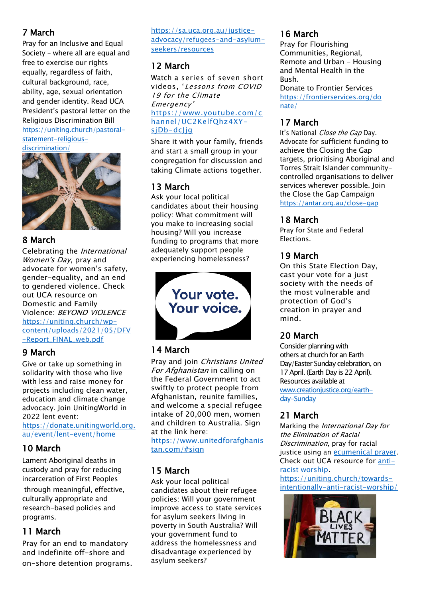#### 7 March

Pray for an Inclusive and Equal Society – where all are equal and free to exercise our rights equally, regardless of faith, cultural background, race, ability, age, sexual orientation and gender identity. Read UCA President's pastoral letter on the Religious Discrimination Bill [https://uniting.church/pastoral](https://uniting.church/pastoral-statement-religious-discrimination/)[statement-religious](https://uniting.church/pastoral-statement-religious-discrimination/)[discrimination/](https://uniting.church/pastoral-statement-religious-discrimination/)

#### 8 March

Celebrating the International Women's Day, pray and advocate for women's safety, gender-equality, and an end to gendered violence. Check out UCA resource on Domestic and Family Violence: BEYOND VIOLENCE [https://uniting.church/wp](https://uniting.church/wp-content/uploads/2021/05/DFV-Report_FINAL_web.pdf)[content/uploads/2021/05/DFV](https://uniting.church/wp-content/uploads/2021/05/DFV-Report_FINAL_web.pdf) [-Report\\_FINAL\\_web.pdf](https://uniting.church/wp-content/uploads/2021/05/DFV-Report_FINAL_web.pdf)

#### 9 March

Give or take up something in solidarity with those who live with less and raise money for projects including clean water, education and climate change advocacy. Join UnitingWorld in 2022 lent event:

[https://donate.unitingworld.org.](https://donate.unitingworld.org.au/event/lent-event/home) [au/event/lent-event/home](https://donate.unitingworld.org.au/event/lent-event/home)

#### 10 March

Lament Aboriginal deaths in custody and pray for reducing incarceration of First Peoples

through meaningful, effective, culturally appropriate and research-based policies and programs.

#### 11 March

Pray for an end to mandatory and indefinite off-shore and on-shore detention programs. [https://sa.uca.org.au/justice](https://sa.uca.org.au/justice-advocacy/refugees-and-asylum-seekers/resources)[advocacy/refugees-and-asylum](https://sa.uca.org.au/justice-advocacy/refugees-and-asylum-seekers/resources)[seekers/resources](https://sa.uca.org.au/justice-advocacy/refugees-and-asylum-seekers/resources)

#### 12 March

Watch a series of seven short videos, 'Lessons from COVID 19 for the Climate Emergency' [https://www.youtube.com/c](https://www.youtube.com/channel/UC2KelfQhz4XY-sjDb-dcJjg) [hannel/UC2KelfQhz4XY](https://www.youtube.com/channel/UC2KelfQhz4XY-sjDb-dcJjg)[sjDb-dcJjg](https://www.youtube.com/channel/UC2KelfQhz4XY-sjDb-dcJjg)

Share it with your family, friends and start a small group in your congregation for discussion and taking Climate actions together.

#### 13 March

Ask your local political candidates about their housing policy: What commitment will you make to increasing social housing? Will you increase funding to programs that more adequately support people experiencing homelessness?



#### 14 March

Pray and join Christians United For Afghanistan in calling on the Federal Government to act swiftly to protect people from Afghanistan, reunite families, and welcome a special refugee intake of 20,000 men, women and children to Australia. Sign at the link here:

[https://www.unitedforafghanis](https://www.unitedforafghanistan.com/#sign) [tan.com/#sign](https://www.unitedforafghanistan.com/#sign)

#### 15 March

Ask your local political candidates about their refugee policies: Will your government improve access to state services for asylum seekers living in poverty in South Australia? Will your government fund to address the homelessness and disadvantage experienced by asylum seekers?

#### 16 March

Pray for Flourishing Communities, Regional, Remote and Urban - Housing and Mental Health in the Bush. Donate to Frontier Services [https://frontierservices.org/do](https://frontierservices.org/donate/) [nate/](https://frontierservices.org/donate/)

#### 17 March

It's National Close the Gap Day. Advocate for sufficient funding to achieve the Closing the Gap targets, prioritising Aboriginal and Torres Strait Islander communitycontrolled organisations to deliver services wherever possible. Join the Close the Gap Campaign <https://antar.org.au/close-gap>

#### 18 March

Pray for State and Federal Elections.

#### 19 March

On this State Election Day, cast your vote for a just society with the needs of the most vulnerable and protection of God's creation in prayer and mind.

#### 20 March

Consider planning with others at church for an Earth Day/Easter Sunday celebration, on 17 April. (Earth Day is 22 April). Resources available at [www.creationjustice.org/earth](http://www.creationjustice.org/earth-day-Sunday)[day-Sunday](http://www.creationjustice.org/earth-day-Sunday)

#### 21 March

Marking the International Day for the Elimination of Racial Discrimination, pray for racial justice using an [ecumenical prayer.](https://www.oikoumene.org/resources/documents/ecumenical-prayer-to-mark-the-international-day-for-the-elimination-of-racial-discrimination) Check out UCA resource for [anti](https://uniting.church/towards-intentionally-anti-racist-worship/)racist [worship.](https://uniting.church/towards-intentionally-anti-racist-worship/)

[https://uniting.church/towards](https://uniting.church/towards-intentionally-anti-racist-worship/)[intentionally-anti-racist-worship/](https://uniting.church/towards-intentionally-anti-racist-worship/)

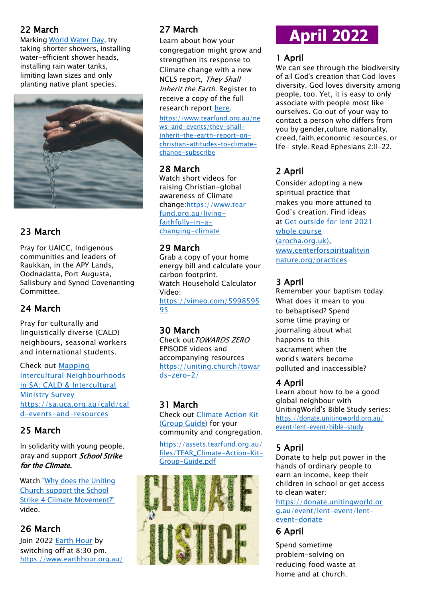#### 22 March

Marking [World Water Day,](http://www.worldwaterday.org/) try taking shorter showers, installing water-efficient shower heads, installing rain water tanks, limiting lawn sizes and only planting native plant species.



#### 23 March

Pray for UAICC, Indigenous communities and leaders of Raukkan, in the APY Lands, Oodnadatta, Port Augusta, Salisbury and Synod Covenanting Committee.

#### 24 March

Pray for culturally and linguistically diverse (CALD) neighbours, seasonal workers and international students.

Check out [Mapping](https://sa.uca.org.au/filestore/CALD/CALD%20Research%20Report-Mission%20Resourcing-Jan-2022.pdf)  [Intercultural Neighbourhoods](https://sa.uca.org.au/filestore/CALD/CALD%20Research%20Report-Mission%20Resourcing-Jan-2022.pdf)  [in SA: CALD & Intercultural](https://sa.uca.org.au/filestore/CALD/CALD%20Research%20Report-Mission%20Resourcing-Jan-2022.pdf)  [Ministry Survey](https://sa.uca.org.au/filestore/CALD/CALD%20Research%20Report-Mission%20Resourcing-Jan-2022.pdf)  [https://sa.uca.org.au/cald/cal](https://sa.uca.org.au/cald/cald-events-and-resources) [d-events-and-resources](https://sa.uca.org.au/cald/cald-events-and-resources)

#### 25 March

In solidarity with young people, pray and support *School Strike* for the Climate.

Watch ["Why does the Uniting](https://www.youtube.com/playlist?list=PL8BcbEAsLWOo9-gMjfcKGDRX-rZRiaZeP)  [Church support the School](https://www.youtube.com/playlist?list=PL8BcbEAsLWOo9-gMjfcKGDRX-rZRiaZeP)  [Strike 4 Climate Movement?"](https://www.youtube.com/playlist?list=PL8BcbEAsLWOo9-gMjfcKGDRX-rZRiaZeP) video.

#### 26 March

Join 2022 [Earth Hour](https://www.earthhour.org.au/) by switching off at 8:30 pm. <https://www.earthhour.org.au/>

#### 27 March

Learn about how your congregation might grow and strengthen its response to Climate change with a new NCLS report, They Shall Inherit the Earth. Register to receive a copy of the full research report [here.](https://www.tearfund.org.au/news-and-events/they-shall-inherit-the-earth-report-on-christian-attitudes-to-climate-change-subscribe)

[https://www.tearfund.org.au/ne](https://www.tearfund.org.au/news-and-events/they-shall-inherit-the-earth-report-on-christian-attitudes-to-climate-change-subscribe) [ws-and-events/they-shall](https://www.tearfund.org.au/news-and-events/they-shall-inherit-the-earth-report-on-christian-attitudes-to-climate-change-subscribe)[inherit-the-earth-report-on](https://www.tearfund.org.au/news-and-events/they-shall-inherit-the-earth-report-on-christian-attitudes-to-climate-change-subscribe)[christian-attitudes-to-climate](https://www.tearfund.org.au/news-and-events/they-shall-inherit-the-earth-report-on-christian-attitudes-to-climate-change-subscribe)[change-subscribe](https://www.tearfund.org.au/news-and-events/they-shall-inherit-the-earth-report-on-christian-attitudes-to-climate-change-subscribe)

#### 28 March

Watch short videos for raising Christian-global awareness of Climate change:[https://www.tear](https://www.tearfund.org.au/living-faithfully-in-a-changing-climate) [fund.org.au/living](https://www.tearfund.org.au/living-faithfully-in-a-changing-climate)[faithfully-in-a](https://www.tearfund.org.au/living-faithfully-in-a-changing-climate)[changing-climate](https://www.tearfund.org.au/living-faithfully-in-a-changing-climate)

#### 29 March

Grab a copy of your home energy bill and calculate your carbon footprint. Watch Household Calculator Video: [https://vimeo.com/5998595](https://vimeo.com/599859595) [95](https://vimeo.com/599859595)

#### 30 March

Check out TOWARDS ZERO EPISODE videos and accompanying resources [https://uniting.church/towar](https://uniting.church/towards-zero-2/) [ds-zero-2/](https://uniting.church/towards-zero-2/)

#### 31 March

Check out [Climate](https://assets.tearfund.org.au/files/TEAR_Climate-Action-Kit-Group-Guide.pdf) Action Kit [\(Group](https://assets.tearfund.org.au/files/TEAR_Climate-Action-Kit-Group-Guide.pdf) Guide) for your community and congregation.

[https://assets.tearfund.org.au/](https://assets.tearfund.org.au/files/TEAR_Climate-Action-Kit-Group-Guide.pdf) [files/TEAR\\_Climate-Action-Kit-](https://assets.tearfund.org.au/files/TEAR_Climate-Action-Kit-Group-Guide.pdf)[Group-Guide.pdf](https://assets.tearfund.org.au/files/TEAR_Climate-Action-Kit-Group-Guide.pdf)



# **April 2022**

#### 1 April

We can see through the biodiversity of all God's creation that God loves diversity. God loves diversity among people, too. Yet, it is easy to only associate with people most like ourselves. Go out of your way to contact a person who differs from you by gender,culture, nationality, creed, faith, economic resources, or life- style. Read Ephesians 2:11-22.

# 2 April

Consider adopting a new spiritual practice that makes you more attuned to God's creation. Find ideas at [Get outside for lent 2021](https://ecochurch.arocha.org.uk/wp-content/uploads/2021/10/W1_1-Get-outside-for-lent-Salisbury-Diocese.pdf)  [whole course](https://ecochurch.arocha.org.uk/wp-content/uploads/2021/10/W1_1-Get-outside-for-lent-Salisbury-Diocese.pdf)  [\(arocha.org.uk\),](https://ecochurch.arocha.org.uk/wp-content/uploads/2021/10/W1_1-Get-outside-for-lent-Salisbury-Diocese.pdf) [www.centerforspiritualityin](http://www.centerforspiritualityinnature.org/practices) [nature.org/practices](http://www.centerforspiritualityinnature.org/practices)

#### 3 April

Remember your baptism today. What does it mean to you to bebaptised? Spend some time praying or journaling about what happens to this sacrament when the world's waters become polluted and inaccessible?

#### 4 April

Learn about how to be a good global neighbour with UnitingWorld's Bible Study series: [https://donate.unitingworld.org.au/](https://donate.unitingworld.org.au/event/lent-event/bible-study) [event/lent-event/bible-study](https://donate.unitingworld.org.au/event/lent-event/bible-study)

#### 5 April

Donate to help put power in the hands of ordinary people to earn an income, keep their children in school or get access to clean water:

[https://donate.unitingworld.or](https://donate.unitingworld.org.au/event/lent-event/lent-event-donate) [g.au/event/lent-event/lent](https://donate.unitingworld.org.au/event/lent-event/lent-event-donate)[event-donate](https://donate.unitingworld.org.au/event/lent-event/lent-event-donate)

#### 6 April

Spend sometime problem-solving on reducing food waste at home and at church.